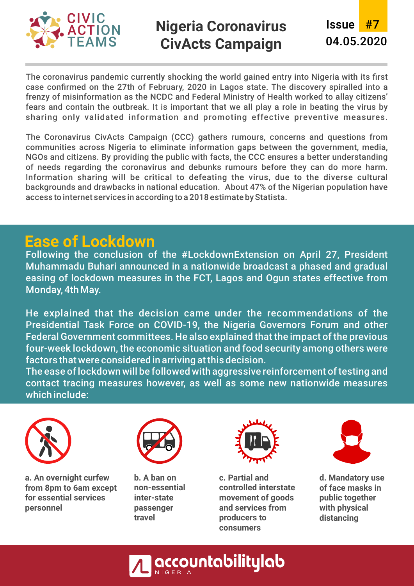

The coronavirus pandemic currently shocking the world gained entry into Nigeria with its first case confirmed on the 27th of February, 2020 in Lagos state. The discovery spiralled into a frenzy of misinformation as the NCDC and Federal Ministry of Health worked to allay citizens' fears and contain the outbreak. It is important that we all play a role in beating the virus by sharing only validated information and promoting effective preventive measures.

The Coronavirus CivActs Campaign (CCC) gathers rumours, concerns and questions from communities across Nigeria to eliminate information gaps between the government, media, NGOs and citizens. By providing the public with facts, the CCC ensures a better understanding of needs regarding the coronavirus and debunks rumours before they can do more harm. Information sharing will be critical to defeating the virus, due to the diverse cultural backgrounds and drawbacks in national education. About 47% of the Nigerian population have access to internet services in according to a 2018 estimate by Statista.

### **Ease of Lockdown**

Following the conclusion of the #LockdownExtension on April 27, President Muhammadu Buhari announced in a nationwide broadcast a phased and gradual easing of lockdown measures in the FCT, Lagos and Ogun states effective from Monday, 4th May.

He explained that the decision came under the recommendations of the Presidential Task Force on COVID-19, the Nigeria Governors Forum and other Federal Government committees. He also explained that the impact of the previous four-week lockdown, the economic situation and food security among others were factors that were considered in arriving at this decision.

The ease of lockdown will be followed with aggressive reinforcement of testing and contact tracing measures however, as well as some new nationwide measures which include:



**a.An overnight curfew from 8pm to 6am except for essential services personnel**



**b.A ban on non-essential inter-state passenger travel**



**c.Partial and controlled interstate movement of goods and services from producers to consumers**



**d.Mandatory use of face masks in public together with physical distancing**

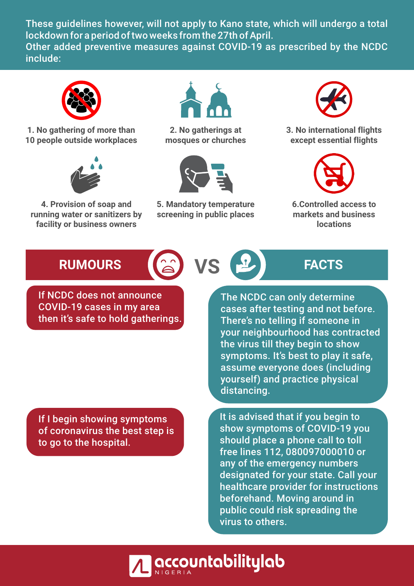These guidelines however, will not apply to Kano state, which will undergo a total lockdown for a period of two weeks from the 27th of April. Other added preventive measures against COVID-19 as prescribed by the NCDC include:



**1.No gathering of more than 10 people outside workplaces**



**4.Provision of soap and running water or sanitizers by facility or business owners**



**2.No gatherings at mosques or churches**



**5. Mandatory temperature screening in public places**



**3.No international flights except essential flights**



**6. Controlled access to markets and business locations**

# RUMOURS **EXECUTED AND REACTS**



If NCDC does not announce

COVID-19 cases in my area then it's safe to hold gatherings.

The NCDC can only determine cases after testing and not before. There's no telling if someone in your neighbourhood has contracted the virus till they begin to show symptoms. It's best to play it safe, assume everyone does (including yourself) and practice physical distancing.

If I begin showing symptoms of coronavirus the best step is to go to the hospital.

It is advised that if you begin to show symptoms of COVID-19 you should place a phone call to toll free lines 112, 080097000010 or any of the emergency numbers designated for your state. Call your healthcare provider for instructions beforehand. Moving around in public could risk spreading the virus to others.

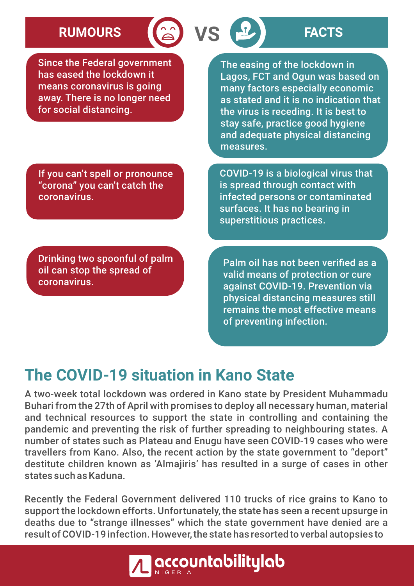# **RUMOURS VS FACTS**

Since the Federal government has eased the lockdown it means coronavirus is going away. There is no longer need for social distancing.

The easing of the lockdown in Lagos, FCT and Ogun was based on many factors especially economic as stated and it is no indication that the virus is receding. It is best to stay safe, practice good hygiene and adequate physical distancing measures.

If you can't spell or pronounce "corona" you can't catch the coronavirus.

Drinking two spoonful of palm oil can stop the spread of coronavirus.

COVID-19 is a biological virus that is spread through contact with infected persons or contaminated surfaces. It has no bearing in superstitious practices.

Palm oil has not been verified as a valid means of protection or cure against COVID-19. Prevention via physical distancing measures still remains the most effective means of preventing infection.

## **The COVID-19 situation in Kano State**

A two-week total lockdown was ordered in Kano state by President Muhammadu Buhari from the 27th of April with promises to deploy all necessary human, material and technical resources to support the state in controlling and containing the pandemic and preventing the risk of further spreading to neighbouring states. A number of states such as Plateau and Enugu have seen COVID-19 cases who were travellers from Kano. Also, the recent action by the state government to "deport" destitute children known as 'Almajiris' has resulted in a surge of cases in other states such as Kaduna.

Recently the Federal Government delivered 110 trucks of rice grains to Kano to support the lockdown efforts. Unfortunately, the state has seen a recent upsurge in deaths due to "strange illnesses" which the state government have denied are a result of COVID-19 infection. However, the state has resorted to verbal autopsies to